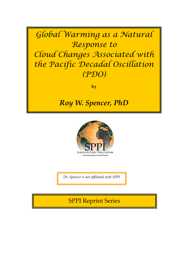Global Warming as a Natural Response to Cloud Changes Associated with the Pacific Decadal Oscillation (PDO)

**by**

*Roy W. Spencer, PhD*



*Dr. Spencer is not affiliated with SPPI*

SPPI Reprint Series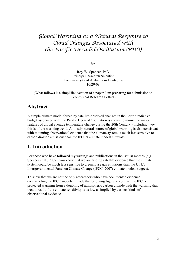# Global Warming as a Natural Response to Cloud Changes Associated with the Pacific Decadal Oscillation (PDO)

by

Roy W. Spencer, PhD Principal Research Scientist The University of Alabama in Huntsville 10/20/08

(What follows is a simplified version of a paper I am preparing for submission to Geophysical Research Letters)

### **Abstract**

A simple climate model forced by satellite-observed changes in the Earth's radiative budget associated with the Pacific Decadal Oscillation is shown to mimic the major features of global average temperature change during the 20th Century - including twothirds of the warming trend. A mostly-natural source of global warming is also consistent with mounting observational evidence that the climate system is much less sensitive to carbon dioxide emissions than the IPCC's climate models simulate.

# **1. Introduction**

For those who have followed my writings and publications in the last 18 months (e.g. Spencer et al., 2007), you know that we are finding satellite evidence that the climate system could be much less sensitive to greenhouse gas emissions than the U.N.'s Intergovernmental Panel on Climate Change (IPCC, 2007) climate models suggest.

To show that we are not the only researchers who have documented evidence contradicting the IPCC models, I made the following figure to contrast the IPCCprojected warming from a doubling of atmospheric carbon dioxide with the warming that would result if the climate sensitivity is as low as implied by various kinds of observational evidence.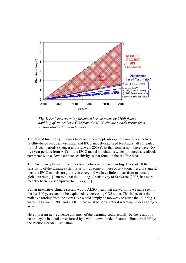

*Fig. 1. Projected warming (assumed here to occur by 2100) from a doubling of atmospheric CO2 from the IPCC climate models versus from various observational indicators.*

The dashed line in **Fig. 1** comes from our recent apples-to-apples comparison between satellite-based feedback estimates and IPCC model-diagnosed feedbacks, all computed from 5-year periods (Spencer and Braswell, 2008a). In that comparison, there were NO five year periods from ANY of the IPCC model simulations which produced a feedback parameter with as low a climate sensitivity as that found in the satellite data.

The discrepancy between the models and observations seen in **Fig. 1** is stark. If the sensitivity of the climate system is as low as some of these observational results suggest, then the IPCC models are grossly in error, and we have little to fear from manmade global warming. [I am told that the 1.1 deg. C sensitivity of Schwartz (2007) has more recently been revised upward to 1.9 deg. C.]

But an insensitive climate system would ALSO mean that the warming we have seen in the last 100 years can not be explained by increasing CO2 alone. This is because the radiative forcing from the extra CO2 would simply be too weak to cause the  $\sim 0.7$  deg. C warming between 1900 and 2000... there must be some natural warming process going on as well.

Here I present new evidence that most of the warming could actually be the result of a natural cycle in cloud cover forced by a well-known mode of natural climate variability: the Pacific Decadal Oscillation.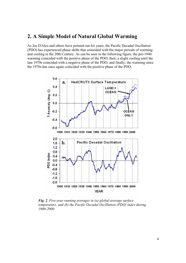#### **2. A Simple Model of Natural Global Warming**

As Joe D'Aleo and others have pointed out for years, the Pacific Decadal Oscillation (PDO) has experienced phase shifts that coincided with the major periods of warming and cooling in the 20th Century. As can be seen in the following figure, the pre-1940 warming coincided with the positive phase of the PDO; then, a slight cooling until the late 1970s coincided with a negative phase of the PDO; and finally, the warming since the 1970s has once again coincided with the positive phase of the PDO.



*Fig. 2. Five-year running averages in (a) global-average surface temperature, and (b) the Pacific Decadal Oscillation (PDO) index during 1900-2000.*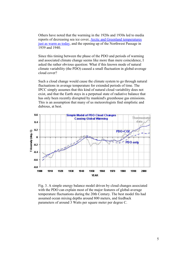Others have noted that the warming in the 1920s and 1930s led to media reports of decreasing sea ice cover, Arctic and Greenland temperatures just as warm as today, and the opening up of the Northwest Passage in 1939 and 1940.

Since this timing between the phase of the PDO and periods of warming and associated climate change seems like more than mere coincidence, I asked the rather obvious question: What if this known mode of natural climate variability (the PDO) caused a small fluctuation in global-average cloud cover?

Such a cloud change would cause the climate system to go through natural fluctuations in average temperature for extended periods of time. The IPCC simply assumes that this kind of natural cloud variability does not exist, and that the Earth stays in a perpetual state of radiative balance that has only been recently disrupted by mankind's greenhouse gas emissions. This is an assumption that many of us meteorologists find simplistic and dubious, at best.



Fig. 3. A simple energy balance model driven by cloud changes associated with the PDO can explain most of the major features of global-average temperature fluctuations during the 20th Century. The best model fits had assumed ocean mixing depths around 800 meters, and feedback parameters of around 3 Watts per square meter per degree C.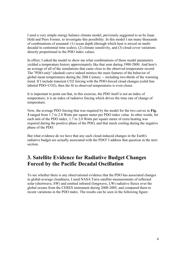I used a very simple energy balance climate model, previously suggested to us by Isaac Held and Piers Forster, to investigate this possibility. In this model I ran many thousands of combinations of assumed: (1) ocean depth (through which heat is mixed on multidecadal to centennial time scales), (2) climate sensitivity, and (3) cloud cover variations directly proportional to the PDO index values.

In effect, I asked the model to show me what combinations of those model parameters yielded a temperature history approximately like that seen during 1900-2000. And here's an average of all of the simulations that came close to the observed temperature record: The "PDO-only" (dashed) curve indeed mimics the main features of the behavior of global mean temperatures during the 20th Century -- including two-thirds of the warming trend. If I include transient CO2 forcing with the PDO-forced cloud changes (solid line labeled PDO+CO2), then the fit to observed temperatures is even closer.

It is important to point out that, in this exercise, the PDO itself is not an index of temperature; it is an index of radiative forcing which drives the time rate of change of temperature.

Now, the average PDO forcing that was required by the model for the two curves in **Fig. 3** ranged from 1.7 to 2.0 Watts per square meter per PDO index value. In other words, for each unit of the PDO index, 1.7 to 2.0 Watts per square meter of extra heating was required during the positive phase of the PDO, and that much cooling during the negative phase of the PDO.

But what evidence do we have that any such cloud-induced changes in the Earth's radiative budget are actually associated with the PDO? I address that question in the next section.

# **3. Satellite Evidence for Radiative Budget Changes Forced by the Pacific Decadal Oscillation**

To see whether there is any observational evidence that the PDO has associated changes in global-average cloudiness, I used NASA Terra satellite measurements of reflected solar (shortwave, SW) and emitted infrared (longwave, LW) radiative fluxes over the global oceans from the CERES instrument during 2000-2005, and compared them to recent variations in the PDO index. The results can be seen in the following figure: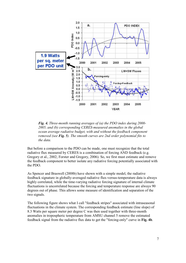

*Fig. 4. Three-month running averages of (a) the PDO index during 2000- 2005, and (b) corresponding CERES-measured anomalies in the global ocean average radiative budget, with and without the feedback component removed (see Fig. 5). The smooth curves are 2nd order polynomial fits to the data.*

But before a comparison to the PDO can be made, one must recognize that the total radiative flux measured by CERES is a combination of forcing AND feedback (e.g. Gregory et al., 2002; Forster and Gregory, 2006). So, we first must estimate and remove the feedback component to better isolate any radiative forcing potentially associated with the PDO.

As Spencer and Braswell (2008b) have shown with a simple model, the radiative feedback signature in globally-averaged radiative flux-versus-temperature data is always highly correlated, while the time-varying radiative forcing signature of internal climate fluctuations is uncorrelated because the forcing and temperature response are always 90 degrees out of phase. This allows some measure of identification and separation of the two signals.

The following figure shows what I call "feedback stripes" associated with intraseasonal fluctuations in the climate system. The corresponding feedback estimate (line slope) of 8.3 Watts per square meter per degree C was then used together with three-month anomalies in tropospheric temperature from AMSU channel 5 remove the estimated feedback signal from the radiative flux data to get the "forcing-only" curve in **Fig. 4b**.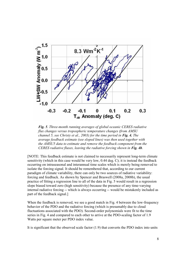

*Fig. 5. Three-month running averages of global oceanic CERES radiative flux changes versus tropospheric temperature changes (from AMSU channel 5, see Christy et al., 2003) for the time period in Fig. 4. The average feedback estimate (see sloped lines) was then used together with the AMSU5 data to estimate and remove the feedback component from the CERES radiative fluxes, leaving the radiative forcing shown in Fig. 4b.*

[NOTE: This feedback estimate is not claimed to necessarily represent long-term climate sensitivity (which in this case would be very low, 0.44 deg. C); it is instead the feedback occurring on intraseasonal and interannual time scales which is merely being removed to isolate the forcing signal. It should be remembered that, according to our current paradigm of climate variability, there can only be two sources of radiative variability: forcing and feedback. As shown by Spencer and Braswell (2008a, 2008b), the usual practice of fitting a regression line to all of the data in Fig. 5 would result in a regression slope biased toward zero (high sensitivity) because the presence of any time-varying internal radiative forcing -- which is always occurring -- would be mistakenly included as part of the feedback signal.]

When the feedback is removed, we see a good match in Fig. 4 between the low-frequency behavior of the PDO and the radiative forcing (which is presumably due to cloud fluctuations associated with the PDO). Second-order polynomials were fit to the time series in Fig. 4 and compared to each other to arrive at the PDO-scaling factor of 1.9 Watts per square meter per PDO index value.

It is significant that the observed scale factor (1.9) that converts the PDO index into units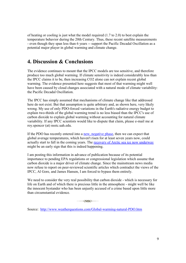of heating or cooling is just what the model required (1.7 to 2.0) to best explain the temperature behavior during the 20th Century. Thus, these recent satellite measurements - even though they span less than 6 years -- support the Pacific Decadal Oscillation as a potential major player in global warming and climate change.

# **4. Discussion & Conclusions**

The evidence continues to mount that the IPCC models are too sensitive, and therefore produce too much global warming. If climate sensitivity is indeed considerably less than the IPCC claims it to be, then increasing CO2 alone can not explain recent global warming. The evidence presented here suggests that most of that warming might well have been caused by cloud changes associated with a natural mode of climate variability: the Pacific Decadal Oscillation.

The IPCC has simply assumed that mechanisms of climate change like that addressed here do not exist. But that assumption is quite arbitrary and, as shown here, very likely wrong. My use of only PDO-forced variations in the Earth's radiative energy budget to explain two-thirds of the global warming trend is no less biased than the IPCC's use of carbon dioxide to explain global warming without accounting for natural climate variability. If any IPCC scientists would like to dispute that claim, please e-mail me at roy.spencer (at) nsstc.uah.edu.

If the PDO has recently entered into a new, negative phase, then we can expect that global average temperatures, which haven't risen for at least seven years now, could actually start to fall in the coming years. The recovery of Arctic sea ice now underway might be an early sign that this is indeed happening.

I am posting this information in advance of publication because of its potential importance to pending EPA regulations or congressional legislation which assume that carbon dioxide is a major driver of climate change. Since the mainstream news media now refuse to report on peer-reviewed scientific articles which contradict the views of the IPCC, Al Gore, and James Hansen, I am forced to bypass them entirely.

We need to consider the very real possibility that carbon dioxide - which is necessary for life on Earth and of which there is precious little in the atmosphere - might well be like the innocent bystander who has been unjustly accused of a crime based upon little more than circumstantial evidence.

 $\overline{ORO}$ 

Source: http://www.weatherquestions.com/Global-warming-natural-PDO.htm